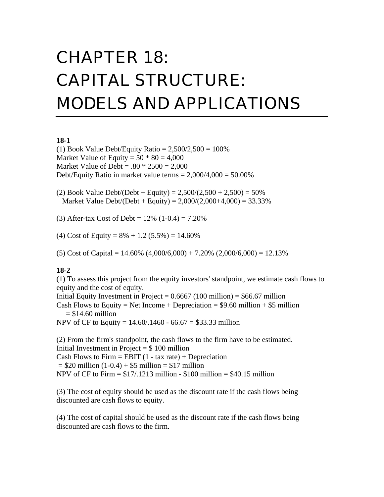# CHAPTER 18: CAPITAL STRUCTURE: MODELS AND APPLICATIONS

#### **18-1**

(1) Book Value Debt/Equity Ratio =  $2,500/2,500 = 100\%$ Market Value of Equity =  $50 * 80 = 4,000$ Market Value of Debt =  $.80 * 2500 = 2,000$ Debt/Equity Ratio in market value terms  $= 2,000/4,000 = 50.00\%$ 

(2) Book Value Debt/(Debt + Equity) =  $2,500/(2,500 + 2,500) = 50\%$ Market Value Debt/(Debt + Equity) =  $2,000/(2,000+4,000) = 33.33\%$ 

(3) After-tax Cost of Debt =  $12\%$  (1-0.4) =  $7.20\%$ 

(4) Cost of Equity =  $8\% + 1.2$  (5.5%) = 14.60%

(5) Cost of Capital =  $14.60\%$  (4,000/6,000) + 7.20% (2,000/6,000) = 12.13%

### **18-2**

(1) To assess this project from the equity investors' standpoint, we estimate cash flows to equity and the cost of equity.

Initial Equity Investment in Project =  $0.6667$  (100 million) = \$66.67 million Cash Flows to Equity = Net Income + Depreciation =  $$9.60$  million + \$5 million  $= $14.60$  million

NPV of CF to Equity =  $14.60/0.1460 - 66.67 = $33.33$  million

(2) From the firm's standpoint, the cash flows to the firm have to be estimated. Initial Investment in Project  $= $100$  million Cash Flows to Firm  $=$  EBIT (1 - tax rate) + Depreciation  $= $20 \text{ million } (1-0.4) + $5 \text{ million } = $17 \text{ million}$ NPV of CF to Firm  $= $17/0.1213$  million  $- $100$  million  $= $40.15$  million

(3) The cost of equity should be used as the discount rate if the cash flows being discounted are cash flows to equity.

(4) The cost of capital should be used as the discount rate if the cash flows being discounted are cash flows to the firm.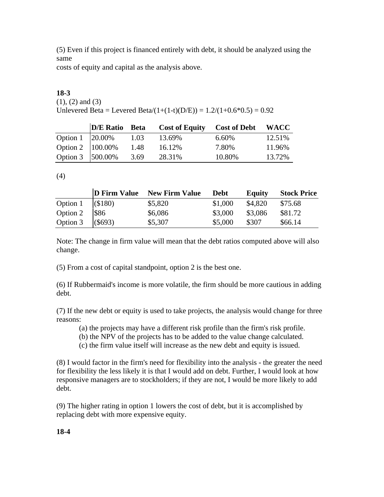(5) Even if this project is financed entirely with debt, it should be analyzed using the same

costs of equity and capital as the analysis above.

# **18-3**

(1), (2) and (3) Unlevered Beta = Levered Beta/ $(1+(1-t)(D/E)) = 1.2/(1+0.6*0.5) = 0.92$ 

|                        | D/E Ratio Beta |      | <b>Cost of Equity</b> | <b>Cost of Debt</b> | <b>WACC</b> |
|------------------------|----------------|------|-----------------------|---------------------|-------------|
| Option $1 \,  20.00\%$ |                | 1.03 | 13.69%                | 6.60%               | 12.51%      |
| Option 2   100.00%     |                | 1.48 | 16.12%                | 7.80%               | 11.96%      |
| Option 3   500.00%     |                | 3.69 | 28.31%                | 10.80%              | 13.72%      |

(4)

|          |            | D Firm Value New Firm Value | <b>Debt</b> | <b>Equity</b> | <b>Stock Price</b> |
|----------|------------|-----------------------------|-------------|---------------|--------------------|
| Option 1 | $($ \$180) | \$5,820                     | \$1,000     | \$4,820       | \$75.68            |
| Option 2 | \$86       | \$6,086                     | \$3,000     | \$3,086       | \$81.72            |
| Option 3 | (\$693)    | \$5,307                     | \$5,000     | \$307         | \$66.14            |

Note: The change in firm value will mean that the debt ratios computed above will also change.

(5) From a cost of capital standpoint, option 2 is the best one.

(6) If Rubbermaid's income is more volatile, the firm should be more cautious in adding debt.

(7) If the new debt or equity is used to take projects, the analysis would change for three reasons:

- (a) the projects may have a different risk profile than the firm's risk profile.
- (b) the NPV of the projects has to be added to the value change calculated.
- (c) the firm value itself will increase as the new debt and equity is issued.

(8) I would factor in the firm's need for flexibility into the analysis - the greater the need for flexibility the less likely it is that I would add on debt. Further, I would look at how responsive managers are to stockholders; if they are not, I would be more likely to add debt.

(9) The higher rating in option 1 lowers the cost of debt, but it is accomplished by replacing debt with more expensive equity.

**18-4**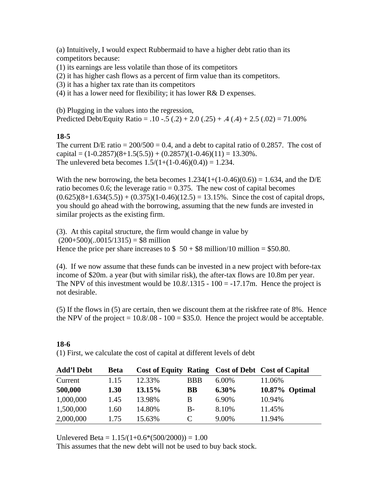(a) Intuitively, I would expect Rubbermaid to have a higher debt ratio than its competitors because:

(1) its earnings are less volatile than those of its competitors

(2) it has higher cash flows as a percent of firm value than its competitors.

(3) it has a higher tax rate than its competitors

(4) it has a lower need for flexibility; it has lower R& D expenses.

(b) Plugging in the values into the regression, Predicted Debt/Equity Ratio =  $.10 - .5(.2) + 2.0(.25) + .4(.4) + 2.5(.02) = 71.00\%$ 

# **18-5**

The current  $D/E$  ratio = 200/500 = 0.4, and a debt to capital ratio of 0.2857. The cost of capital =  $(1-0.2857)(8+1.5(5.5)) + (0.2857)(1-0.46)(11) = 13.30\%$ . The unlevered beta becomes  $1.5/(1+(1-0.46)(0.4)) = 1.234$ .

With the new borrowing, the beta becomes  $1.234(1+(1-0.46)(0.6)) = 1.634$ , and the D/E ratio becomes 0.6; the leverage ratio  $= 0.375$ . The new cost of capital becomes  $(0.625)(8+1.634(5.5)) + (0.375)(1-0.46)(12.5) = 13.15\%$ . Since the cost of capital drops, you should go ahead with the borrowing, assuming that the new funds are invested in similar projects as the existing firm.

(3). At this capital structure, the firm would change in value by  $(200+500)(.0015/1315) = $8$  million Hence the price per share increases to  $$50 + $8$  million/10 million = \$50.80.

(4). If we now assume that these funds can be invested in a new project with before-tax income of \$20m. a year (but with similar risk), the after-tax flows are 10.8m per year. The NPV of this investment would be  $10.8/1315 - 100 = -17.17$ m. Hence the project is not desirable.

(5) If the flows in (5) are certain, then we discount them at the riskfree rate of 8%. Hence the NPV of the project  $= 10.8/0.08 - 100 = $35.0$ . Hence the project would be acceptable.

| <b>Add'l Debt</b> | <b>Beta</b> |        |            |          | Cost of Equity Rating Cost of Debt Cost of Capital |
|-------------------|-------------|--------|------------|----------|----------------------------------------------------|
| Current           | 1.15        | 12.33% | <b>BBB</b> | $6.00\%$ | 11.06%                                             |
| 500,000           | 1.30        | 13.15% | <b>BB</b>  | $6.30\%$ | 10.87% Optimal                                     |
| 1,000,000         | 1.45        | 13.98% | B          | 6.90%    | 10.94%                                             |
| 1,500,000         | 1.60        | 14.80% | $B -$      | 8.10%    | 11.45%                                             |
| 2,000,000         | 1.75        | 15.63% | C          | 9.00%    | 11.94%                                             |

**18-6** (1) First, we calculate the cost of capital at different levels of debt

Unlevered Beta =  $1.15/(1+0.6*(500/2000)) = 1.00$ 

This assumes that the new debt will not be used to buy back stock.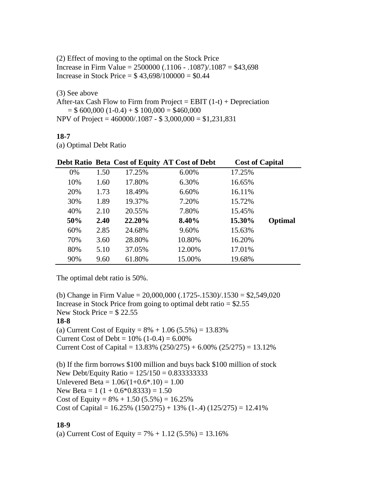(2) Effect of moving to the optimal on the Stock Price Increase in Firm Value = 2500000 (.1106 - .1087)/.1087 = \$43,698 Increase in Stock Price =  $$43,698/100000 = $0.44$ 

(3) See above

After-tax Cash Flow to Firm from Project = EBIT  $(1-t)$  + Depreciation  $= $ 600,000 (1-0.4) + $ 100,000 = $460,000$ NPV of Project = 460000/.1087 - \$ 3,000,000 = \$1,231,831

#### **18-7**

(a) Optimal Debt Ratio

|     |      |        | Debt Ratio Beta Cost of Equity AT Cost of Debt | <b>Cost of Capital</b> |         |
|-----|------|--------|------------------------------------------------|------------------------|---------|
| 0%  | 1.50 | 17.25% | 6.00%                                          | 17.25%                 |         |
| 10% | 1.60 | 17.80% | 6.30%                                          | 16.65%                 |         |
| 20% | 1.73 | 18.49% | 6.60%                                          | 16.11%                 |         |
| 30% | 1.89 | 19.37% | 7.20%                                          | 15.72%                 |         |
| 40% | 2.10 | 20.55% | 7.80%                                          | 15.45%                 |         |
| 50% | 2.40 | 22.20% | 8.40%                                          | 15.30%                 | Optimal |
| 60% | 2.85 | 24.68% | 9.60%                                          | 15.63%                 |         |
| 70% | 3.60 | 28.80% | 10.80%                                         | 16.20%                 |         |
| 80% | 5.10 | 37.05% | 12.00%                                         | 17.01%                 |         |
| 90% | 9.60 | 61.80% | 15.00%                                         | 19.68%                 |         |

The optimal debt ratio is 50%.

(b) Change in Firm Value =  $20,000,000$  (.1725-.1530)/.1530 = \$2,549,020 Increase in Stock Price from going to optimal debt ratio  $=$  \$2.55 New Stock Price  $=$  \$22.55 **18-8** (a) Current Cost of Equity =  $8\% + 1.06$  (5.5%) = 13.83% Current Cost of Debt =  $10\%$  (1-0.4) =  $6.00\%$ Current Cost of Capital =  $13.83\%$  (250/275) + 6.00% (25/275) =  $13.12\%$ 

(b) If the firm borrows \$100 million and buys back \$100 million of stock New Debt/Equity Ratio =  $125/150 = 0.8333333333$ Unlevered Beta =  $1.06/(1+0.6*.10) = 1.00$ New Beta =  $1(1 + 0.6 * 0.8333) = 1.50$ Cost of Equity =  $8\% + 1.50$  (5.5%) = 16.25% Cost of Capital =  $16.25\%$  (150/275) + 13% (1-.4) (125/275) = 12.41%

### **18-9**

(a) Current Cost of Equity =  $7\% + 1.12$  (5.5%) = 13.16%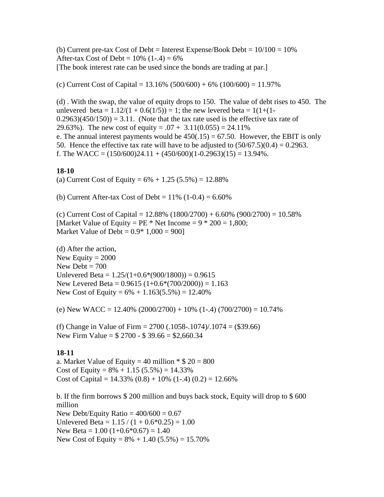(b) Current pre-tax Cost of Debt = Interest Expense/Book Debt =  $10/100 = 10\%$ After-tax Cost of Debt =  $10\%$  (1-.4) =  $6\%$ [The book interest rate can be used since the bonds are trading at par.]

(c) Current Cost of Capital =  $13.16\%$  (500/600) + 6% (100/600) = 11.97%

(d) . With the swap, the value of equity drops to 150. The value of debt rises to 450. The unlevered beta =  $1.12/(1 + 0.6(1/5)) = 1$ ; the new levered beta =  $1(1+(1 (0.2963)(450/150) = 3.11$ . (Note that the tax rate used is the effective tax rate of 29.63%). The new cost of equity =  $.07 + 3.11(0.055) = 24.11\%$ e. The annual interest payments would be  $450(.15) = 67.50$ . However, the EBIT is only 50. Hence the effective tax rate will have to be adjusted to  $(50/67.5)(0.4) = 0.2963$ . f. The WACC =  $(150/600)24.11 + (450/600)(1-0.2963)(15) = 13.94\%$ .

#### **18-10**

(a) Current Cost of Equity =  $6\% + 1.25$  (5.5%) = 12.88%

(b) Current After-tax Cost of Debt =  $11\%$  (1-0.4) =  $6.60\%$ 

(c) Current Cost of Capital =  $12.88\%$  (1800/2700) + 6.60% (900/2700) = 10.58% [Market Value of Equity =  $PE * Net Income = 9 * 200 = 1,800;$ Market Value of Debt =  $0.9*1,000 = 900$ 

(d) After the action, New Equity  $= 2000$ New Debt  $= 700$ Unlevered Beta =  $1.25/(1+0.6*(900/1800)) = 0.9615$ New Levered Beta =  $0.9615 (1+0.6*(700/2000)) = 1.163$ New Cost of Equity =  $6\% + 1.163(5.5\%) = 12.40\%$ 

(e) New WACC =  $12.40\%$  (2000/2700) + 10% (1-.4) (700/2700) = 10.74%

(f) Change in Value of Firm = 2700 (.1058-.1074)/.1074 = (\$39.66) New Firm Value =  $$2700 - $39.66 = $2,660.34$ 

#### **18-11**

a. Market Value of Equity = 40 million  $\text{* } $20 = 800$ Cost of Equity =  $8\% + 1.15(5.5\%) = 14.33\%$ Cost of Capital =  $14.33\%$  (0.8) + 10% (1-.4) (0.2) = 12.66%

b. If the firm borrows \$ 200 million and buys back stock, Equity will drop to \$ 600 million New Debt/Equity Ratio  $= 400/600 = 0.67$ Unlevered Beta =  $1.15 / (1 + 0.6*0.25) = 1.00$ New Beta =  $1.00$  (1+0.6\*0.67) = 1.40 New Cost of Equity =  $8\% + 1.40$  (5.5%) = 15.70%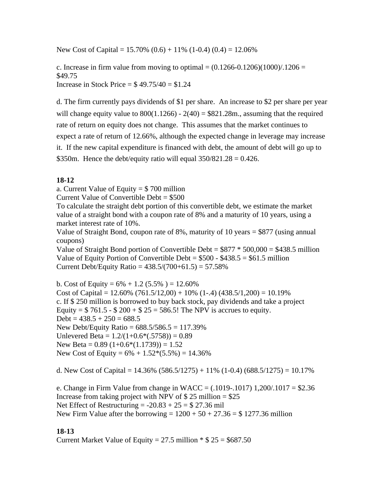New Cost of Capital =  $15.70\%$  (0.6) +  $11\%$  (1-0.4) (0.4) =  $12.06\%$ 

c. Increase in firm value from moving to optimal  $= (0.1266-0.1206)(1000)/1206 =$ \$49.75 Increase in Stock Price  $=$  \$49.75/40  $=$  \$1.24

d. The firm currently pays dividends of \$1 per share. An increase to \$2 per share per year will change equity value to  $800(1.1266) - 2(40) = $821.28m$ , assuming that the required rate of return on equity does not change. This assumes that the market continues to expect a rate of return of 12.66%, although the expected change in leverage may increase it. If the new capital expenditure is financed with debt, the amount of debt will go up to \$350m. Hence the debt/equity ratio will equal  $350/821.28 = 0.426$ .

# **18-12**

a. Current Value of Equity  $= $700$  million

Current Value of Convertible Debt = \$500

To calculate the straight debt portion of this convertible debt, we estimate the market value of a straight bond with a coupon rate of 8% and a maturity of 10 years, using a market interest rate of 10%.

Value of Straight Bond, coupon rate of 8%, maturity of 10 years = \$877 (using annual coupons)

Value of Straight Bond portion of Convertible Debt  $= $877 * 500,000 = $438.5$  million Value of Equity Portion of Convertible Debt =  $$500 - $438.5 = $61.5$  million Current Debt/Equity Ratio =  $438.5/(700+61.5) = 57.58\%$ 

b. Cost of Equity =  $6\% + 1.2$  (5.5%) = 12.60% Cost of Capital =  $12.60\%$  (761.5/12,00) + 10% (1-.4) (438.5/1,200) = 10.19% c. If \$ 250 million is borrowed to buy back stock, pay dividends and take a project Equity =  $$761.5 - $200 + $25 = 586.5!$  The NPV is accrues to equity.  $Debt = 438.5 + 250 = 688.5$ New Debt/Equity Ratio = 688.5/586.5 = 117.39% Unlevered Beta =  $1.2/(1+0.6*(0.5758)) = 0.89$ New Beta =  $0.89$  (1+ $0.6*(1.1739)$ ) = 1.52 New Cost of Equity =  $6\% + 1.52*(5.5\%) = 14.36\%$ 

d. New Cost of Capital =  $14.36\%$  (586.5/1275) + 11% (1-0.4) (688.5/1275) = 10.17%

e. Change in Firm Value from change in WACC =  $(.1019-.1017)$  1,200/.1017 = \$2.36 Increase from taking project with NPV of  $$ 25$  million =  $$25$ Net Effect of Restructuring  $= -20.83 + 25 = $27.36$  mil New Firm Value after the borrowing =  $1200 + 50 + 27.36 = $ 1277.36$  million

### **18-13**

Current Market Value of Equity = 27.5 million  $*$  \$ 25 = \$687.50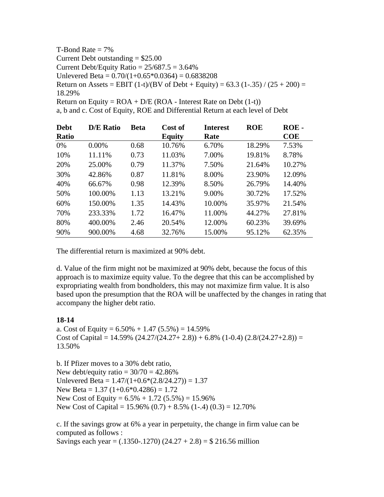T-Bond Rate  $= 7\%$ Current Debt outstanding  $= $25.00$ Current Debt/Equity Ratio =  $25/687.5 = 3.64\%$ Unlevered Beta =  $0.70/(1+0.65*0.0364) = 0.6838208$ Return on Assets = EBIT  $(1-t)/(BV \text{ of Debt} + Equity) = 63.3 (1-.35) / (25 + 200) =$ 18.29% Return on Equity =  $ROA + D/E (ROA - Interest Rate on Debt (1-t))$ a, b and c. Cost of Equity, ROE and Differential Return at each level of Debt

| <b>Debt</b>  | <b>D/E Ratio</b> | <b>Beta</b> | Cost of       | <b>Interest</b> | <b>ROE</b> | ROE-   |
|--------------|------------------|-------------|---------------|-----------------|------------|--------|
| <b>Ratio</b> |                  |             | <b>Equity</b> | Rate            |            | COE    |
| $0\%$        | $0.00\%$         | 0.68        | 10.76%        | 6.70%           | 18.29%     | 7.53%  |
| 10%          | 11.11%           | 0.73        | 11.03%        | 7.00%           | 19.81%     | 8.78%  |
| 20%          | 25.00%           | 0.79        | 11.37%        | 7.50%           | 21.64%     | 10.27% |
| 30%          | 42.86%           | 0.87        | 11.81%        | 8.00%           | 23.90%     | 12.09% |
| 40%          | 66.67%           | 0.98        | 12.39%        | 8.50%           | 26.79%     | 14.40% |
| 50%          | 100.00%          | 1.13        | 13.21%        | 9.00%           | 30.72%     | 17.52% |
| 60%          | 150.00%          | 1.35        | 14.43%        | 10.00%          | 35.97%     | 21.54% |
| 70%          | 233.33%          | 1.72        | 16.47%        | 11.00%          | 44.27%     | 27.81% |
| 80%          | 400.00%          | 2.46        | 20.54%        | 12.00%          | 60.23%     | 39.69% |
| 90%          | 900.00%          | 4.68        | 32.76%        | 15.00%          | 95.12%     | 62.35% |

The differential return is maximized at 90% debt.

d. Value of the firm might not be maximized at 90% debt, because the focus of this approach is to maximize equity value. To the degree that this can be accomplished by expropriating wealth from bondholders, this may not maximize firm value. It is also based upon the presumption that the ROA will be unaffected by the changes in rating that accompany the higher debt ratio.

### **18-14**

a. Cost of Equity =  $6.50\% + 1.47$   $(5.5\%) = 14.59\%$ Cost of Capital =  $14.59\%$  (24.27/(24.27+ 2.8)) + 6.8% (1-0.4) (2.8/(24.27+2.8)) = 13.50%

b. If Pfizer moves to a 30% debt ratio, New debt/equity ratio  $= 30/70 = 42.86\%$ Unlevered Beta =  $1.47/(1+0.6*(2.8/24.27)) = 1.37$ New Beta =  $1.37$  (1+0.6\*0.4286) = 1.72 New Cost of Equity =  $6.5\% + 1.72$  (5.5%) = 15.96% New Cost of Capital =  $15.96\%$  (0.7) +  $8.5\%$  (1-.4) (0.3) = 12.70%

c. If the savings grow at 6% a year in perpetuity, the change in firm value can be computed as follows : Savings each year =  $(.1350-.1270)$   $(24.27 + 2.8) = $216.56$  million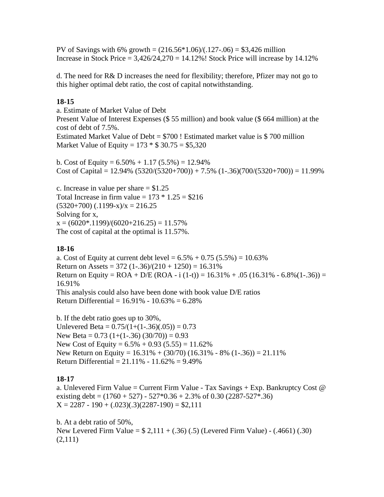PV of Savings with 6% growth =  $(216.56*1.06)/(0.127-0.06) = $3,426$  million Increase in Stock Price  $= 3,426/24,270 = 14.12\%$ ! Stock Price will increase by 14.12%

d. The need for R& D increases the need for flexibility; therefore, Pfizer may not go to this higher optimal debt ratio, the cost of capital notwithstanding.

# **18-15**

a. Estimate of Market Value of Debt Present Value of Interest Expenses (\$ 55 million) and book value (\$ 664 million) at the cost of debt of 7.5%. Estimated Market Value of Debt = \$700 ! Estimated market value is \$ 700 million Market Value of Equity =  $173 * $30.75 = $5,320$ 

b. Cost of Equity =  $6.50\% + 1.17(5.5\%) = 12.94\%$ Cost of Capital =  $12.94\%$  (5320/(5320+700)) + 7.5% (1-.36)(700/(5320+700)) = 11.99%

c. Increase in value per share  $= $1.25$ Total Increase in firm value =  $173 * 1.25 = $216$  $(5320+700)$   $(.1199-x)/x = 216.25$ Solving for x,  $x = (6020^* \cdot 1199)/(6020 + 216.25) = 11.57\%$ The cost of capital at the optimal is 11.57%.

# **18-16**

a. Cost of Equity at current debt level =  $6.5\% + 0.75$  (5.5%) = 10.63% Return on Assets =  $372$  (1-.36)/(210 + 1250) = 16.31% Return on Equity =  $ROA + D/E (ROA - i (1-t)) = 16.31% + .05 (16.31% - 6.8% (1-.36)) =$ 16.91% This analysis could also have been done with book value D/E ratios Return Differential =  $16.91\% - 10.63\% = 6.28\%$ 

b. If the debt ratio goes up to 30%, Unlevered Beta =  $0.75/(1+(1-.36)(.05)) = 0.73$ New Beta =  $0.73$  (1+(1-.36) (30/70)) = 0.93 New Cost of Equity =  $6.5\% + 0.93(5.55) = 11.62\%$ New Return on Equity =  $16.31\% + (30/70) (16.31\% - 8\% (1-.36)) = 21.11\%$ Return Differential = 21.11% - 11.62% = 9.49%

# **18-17**

a. Unlevered Firm Value = Current Firm Value - Tax Savings  $+$  Exp. Bankruptcy Cost  $\omega$ existing debt =  $(1760 + 527) - 527 * 0.36 + 2.3%$  of 0.30 (2287-527\*.36)  $X = 2287 - 190 + (.023)(.3)(2287 - 190) = $2,111$ 

b. At a debt ratio of 50%, New Levered Firm Value = \$ 2,111 + (.36) (.5) (Levered Firm Value) - (.4661) (.30) (2,111)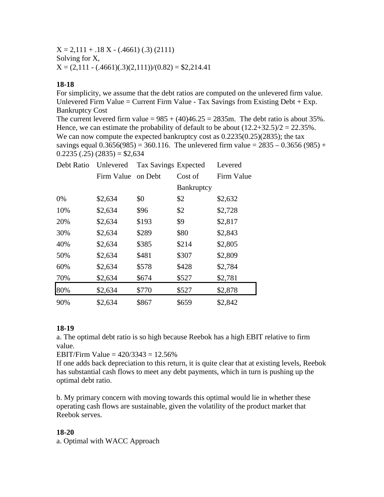$X = 2,111 + .18 X - (.4661) (.3) (2111)$ Solving for X,  $X = (2,111 - (.4661)(.3)(2,111)) / (0.82) = $2,214.41$ 

## **18-18**

For simplicity, we assume that the debt ratios are computed on the unlevered firm value. Unlevered Firm Value = Current Firm Value - Tax Savings from Existing Debt + Exp. Bankruptcy Cost

The current levered firm value =  $985 + (40)46.25 = 2835$ m. The debt ratio is about 35%. Hence, we can estimate the probability of default to be about  $(12.2+32.5)/2 = 22.35\%$ . We can now compute the expected bankruptcy cost as  $0.2235(0.25)(2835)$ ; the tax savings equal  $0.3656(985) = 360.116$ . The unlevered firm value =  $2835 - 0.3656(985) +$  $0.2235(.25)(2835) = $2,634$ 

| Debt Ratio | Unlevered  | <b>Tax Savings Expected</b> |                   | Levered    |
|------------|------------|-----------------------------|-------------------|------------|
|            | Firm Value | on Debt                     | Cost of           | Firm Value |
|            |            |                             | <b>Bankruptcy</b> |            |
| 0%         | \$2,634    | \$0                         | \$2               | \$2,632    |
| 10%        | \$2,634    | \$96                        | \$2               | \$2,728    |
| 20%        | \$2,634    | \$193                       | \$9               | \$2,817    |
| 30%        | \$2,634    | \$289                       | \$80              | \$2,843    |
| 40%        | \$2,634    | \$385                       | \$214             | \$2,805    |
| 50%        | \$2,634    | \$481                       | \$307             | \$2,809    |
| 60%        | \$2,634    | \$578                       | \$428             | \$2,784    |
| 70%        | \$2,634    | \$674                       | \$527             | \$2,781    |
| 80%        | \$2,634    | \$770                       | \$527             | \$2,878    |
| 90%        | \$2,634    | \$867                       | \$659             | \$2,842    |

# **18-19**

a. The optimal debt ratio is so high because Reebok has a high EBIT relative to firm value.

EBIT/Firm Value =  $420/3343 = 12.56\%$ 

If one adds back depreciation to this return, it is quite clear that at existing levels, Reebok has substantial cash flows to meet any debt payments, which in turn is pushing up the optimal debt ratio.

b. My primary concern with moving towards this optimal would lie in whether these operating cash flows are sustainable, given the volatility of the product market that Reebok serves.

### **18-20**

a. Optimal with WACC Approach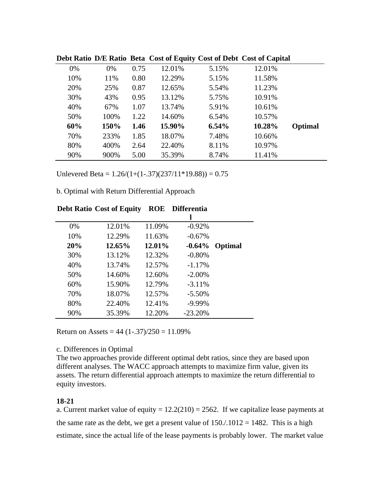|     |      |      |        |          | Dept National Digital Ration Detail Cost of Equity Cost of Dept Cost of Capital |         |
|-----|------|------|--------|----------|---------------------------------------------------------------------------------|---------|
| 0%  | 0%   | 0.75 | 12.01% | 5.15%    | 12.01%                                                                          |         |
| 10% | 11%  | 0.80 | 12.29% | 5.15%    | 11.58%                                                                          |         |
| 20% | 25%  | 0.87 | 12.65% | 5.54%    | 11.23%                                                                          |         |
| 30% | 43%  | 0.95 | 13.12% | 5.75%    | 10.91%                                                                          |         |
| 40% | 67%  | 1.07 | 13.74% | 5.91%    | 10.61%                                                                          |         |
| 50% | 100% | 1.22 | 14.60% | 6.54%    | 10.57%                                                                          |         |
| 60% | 150% | 1.46 | 15.90% | $6.54\%$ | 10.28%                                                                          | Optimal |
| 70% | 233% | 1.85 | 18.07% | 7.48%    | 10.66%                                                                          |         |
| 80% | 400% | 2.64 | 22.40% | 8.11%    | 10.97%                                                                          |         |
| 90% | 900% | 5.00 | 35.39% | 8.74%    | 11.41%                                                                          |         |
|     |      |      |        |          |                                                                                 |         |

**Debt Ratio D/E Ratio Beta Cost of Equity Cost of Debt Cost of Capital**

Unlevered Beta =  $1.26/(1+(1-.37)(237/11*19.88)) = 0.75$ 

b. Optimal with Return Differential Approach

| 12.01% | 11.09% | $-0.92%$  |         |
|--------|--------|-----------|---------|
| 12.29% | 11.63% | $-0.67%$  |         |
| 12.65% | 12.01% | $-0.64\%$ | Optimal |
| 13.12% | 12.32% | $-0.80%$  |         |
| 13.74% | 12.57% | $-1.17%$  |         |
| 14.60% | 12.60% | $-2.00\%$ |         |
| 15.90% | 12.79% | $-3.11%$  |         |
| 18.07% | 12.57% | $-5.50\%$ |         |
| 22.40% | 12.41% | $-9.99%$  |         |
| 35.39% | 12.20% | $-23.20%$ |         |
|        |        |           |         |

# **Debt Ratio Cost of Equity ROE Differentia**

Return on Assets =  $44 (1-.37)/250 = 11.09%$ 

### c. Differences in Optimal

The two approaches provide different optimal debt ratios, since they are based upon different analyses. The WACC approach attempts to maximize firm value, given its assets. The return differential approach attempts to maximize the return differential to equity investors.

### **18-21**

a. Current market value of equity =  $12.2(210) = 2562$ . If we capitalize lease payments at the same rate as the debt, we get a present value of  $150/.1012 = 1482$ . This is a high estimate, since the actual life of the lease payments is probably lower. The market value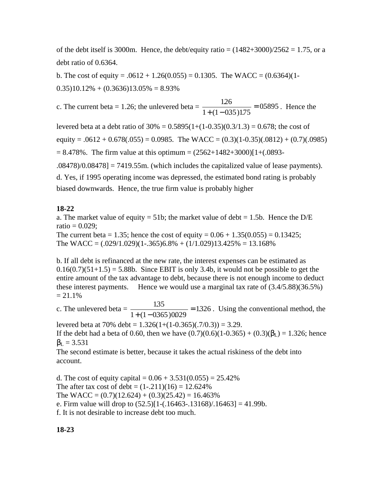of the debt itself is 3000m. Hence, the debt/equity ratio =  $(1482+3000)/2562 = 1.75$ , or a debt ratio of 0.6364.

b. The cost of equity =  $.0612 + 1.26(0.055) = 0.1305$ . The WACC =  $(0.6364)(1 0.35$ )10.12% +  $(0.3636)13.05% = 8.93%$ 

c. The current beta = 1.26; the unlevered beta =  $\frac{126}{\sqrt{126}}$  =  $\frac{126}{1 + (1 - 035)1.75} = 05895$ . Hence the

levered beta at a debt ratio of  $30\% = 0.5895(1+(1-0.35)(0.3/1.3) = 0.678$ ; the cost of equity =  $.0612 + 0.678(.055) = 0.0985$ . The WACC =  $(0.3)(1-0.35)(.0812) + (0.7)(.0985)$  $= 8.478\%$ . The firm value at this optimum  $= (2562+1482+3000)[1+(0.0893-1.0893+1.0893+1.0893+1.0893+1.0893+1.0893+1.0893+1.0893+1.0893+1.0893+1.0893+1.0893+1.0893+1.0893+1.0893+1.0893+1.0893+1.0893+1.0893+1.0893+1.0893+1.0$ .08478)/0.08478] = 7419.55m. (which includes the capitalized value of lease payments).

d. Yes, if 1995 operating income was depressed, the estimated bond rating is probably biased downwards. Hence, the true firm value is probably higher

#### **18-22**

a. The market value of equity = 51b; the market value of debt = 1.5b. Hence the  $D/E$  $ratio = 0.029$ ;

The current beta = 1.35; hence the cost of equity =  $0.06 + 1.35(0.055) = 0.13425$ ; The WACC =  $(.029/1.029)(1-.365)6.8% + (1/1.029)13.425% = 13.168%$ 

b. If all debt is refinanced at the new rate, the interest expenses can be estimated as  $0.16(0.7)(51+1.5) = 5.88b$ . Since EBIT is only 3.4b, it would not be possible to get the entire amount of the tax advantage to debt, because there is not enough income to deduct these interest payments. Hence we would use a marginal tax rate of (3.4/5.88)(36.5%)  $= 21.1\%$ 

c. The unlevered beta =  $\frac{135}{(1.4 \times 0.055)^{0.0000}}$  $\frac{135}{1+(1-0365)0029}$  = 1326. Using the conventional method, the

levered beta at 70% debt =  $1.326(1+(1-0.365)(.7/0.3)) = 3.29$ . If the debt had a beta of 0.60, then we have  $(0.7)(0.6)(1-0.365) + (0.3)(L) = 1.326$ ; hence  $L = 3.531$ 

The second estimate is better, because it takes the actual riskiness of the debt into account.

d. The cost of equity capital =  $0.06 + 3.531(0.055) = 25.42\%$ The after tax cost of debt =  $(1-.211)(16) = 12.624\%$ The WACC =  $(0.7)(12.624) + (0.3)(25.42) = 16.463\%$ e. Firm value will drop to  $(52.5)[1-(.16463-.13168)/.16463] = 41.99b$ . f. It is not desirable to increase debt too much.

**18-23**